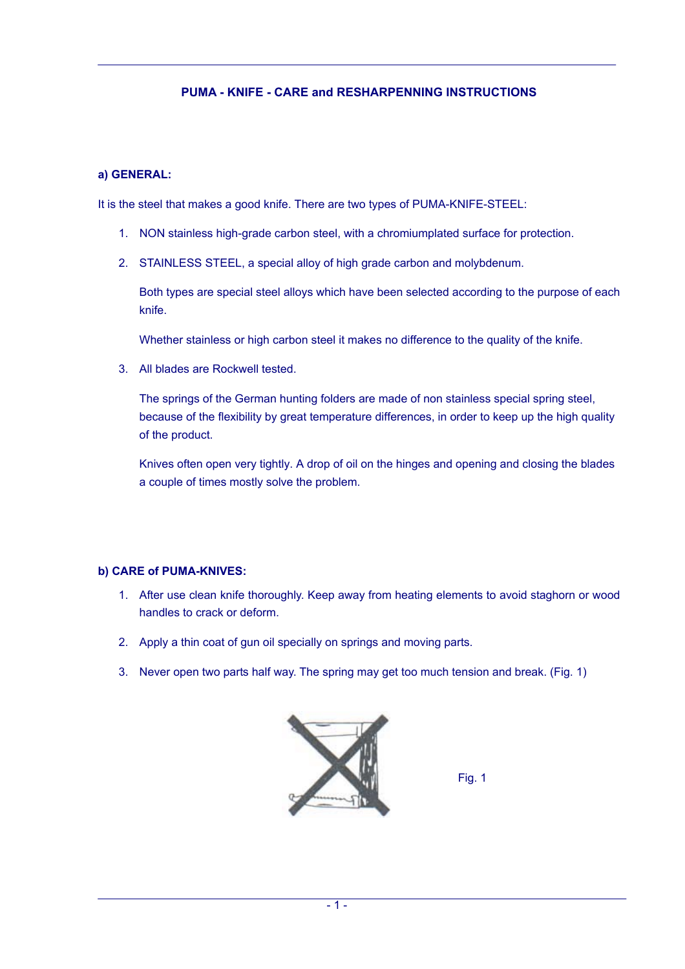# **PUMA - KNIFE - CARE and RESHARPENNING INSTRUCTIONS**

#### **a) GENERAL:**

It is the steel that makes a good knife. There are two types of PUMA-KNIFE-STEEL:

- 1. NON stainless high-grade carbon steel, with a chromiumplated surface for protection.
- 2. STAINLESS STEEL, a special alloy of high grade carbon and molybdenum.

Both types are special steel alloys which have been selected according to the purpose of each knife.

Whether stainless or high carbon steel it makes no difference to the quality of the knife.

3. All blades are Rockwell tested.

The springs of the German hunting folders are made of non stainless special spring steel, because of the flexibility by great temperature differences, in order to keep up the high quality of the product.

Knives often open very tightly. A drop of oil on the hinges and opening and closing the blades a couple of times mostly solve the problem.

## **b) CARE of PUMA-KNIVES:**

- 1. After use clean knife thoroughly. Keep away from heating elements to avoid staghorn or wood handles to crack or deform.
- 2. Apply a thin coat of gun oil specially on springs and moving parts.
- 3. Never open two parts half way. The spring may get too much tension and break. (Fig. 1)



Fig. 1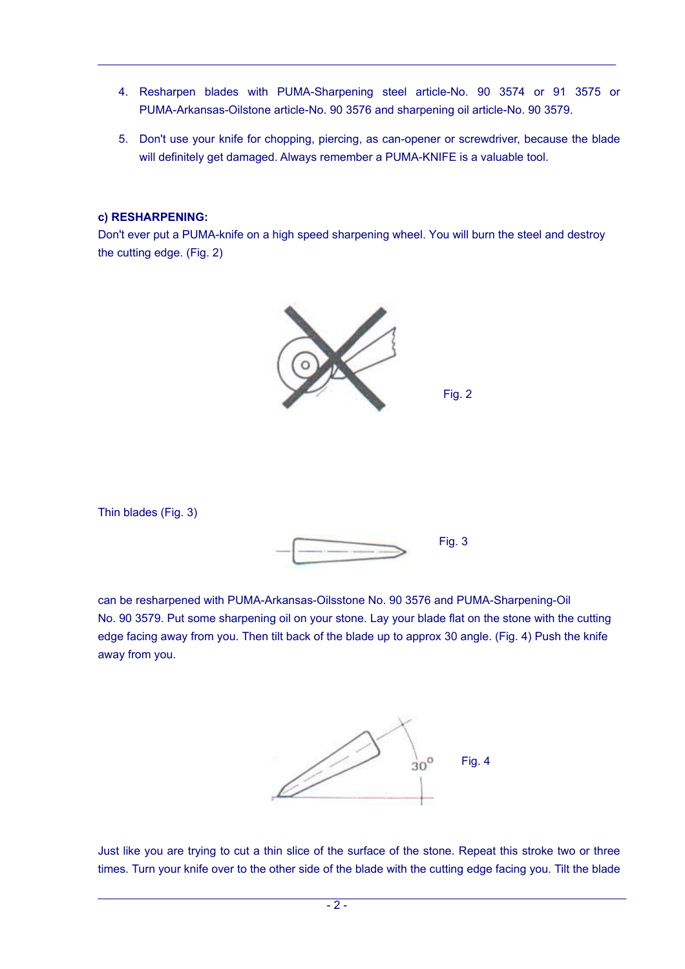- 4. Resharpen blades with PUMA-Sharpening steel article-No. 90 3574 or 91 3575 or PUMA-Arkansas-Oilstone article-No. 90 3576 and sharpening oil article-No. 90 3579.
- 5. Don't use your knife for chopping, piercing, as can-opener or screwdriver, because the blade will definitely get damaged. Always remember a PUMA-KNIFE is a valuable tool.

#### **c) RESHARPENING:**

Don't ever put a PUMA-knife on a high speed sharpening wheel. You will burn the steel and destroy the cutting edge. (Fig. 2)



Thin blades (Fig. 3)



can be resharpened with PUMA-Arkansas-Oilsstone No. 90 3576 and PUMA-Sharpening-Oil No. 90 3579. Put some sharpening oil on your stone. Lay your blade flat on the stone with the cutting edge facing away from you. Then tilt back of the blade up to approx 30 angle. (Fig. 4) Push the knife away from you.



Just like you are trying to cut a thin slice of the surface of the stone. Repeat this stroke two or three times. Turn your knife over to the other side of the blade with the cutting edge facing you. Tilt the blade